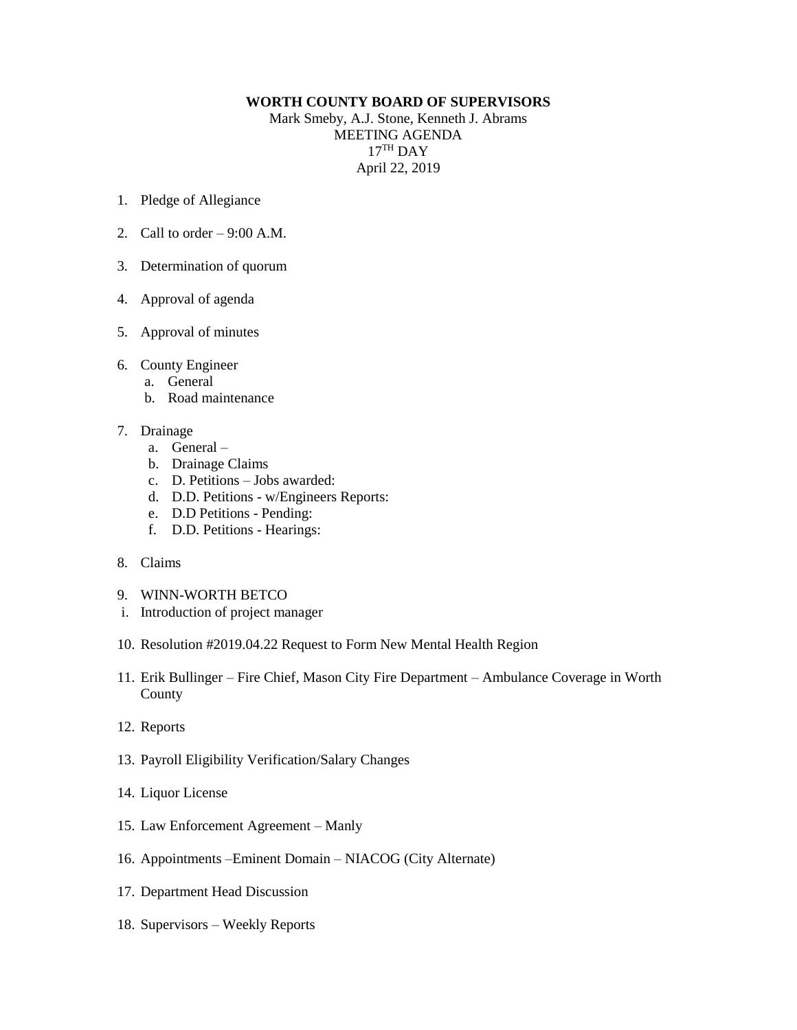## **WORTH COUNTY BOARD OF SUPERVISORS**

Mark Smeby, A.J. Stone, Kenneth J. Abrams MEETING AGENDA 17 TH DAY April 22, 2019

- 1. Pledge of Allegiance
- 2. Call to order  $-9:00$  A.M.
- 3. Determination of quorum
- 4. Approval of agenda
- 5. Approval of minutes
- 6. County Engineer
	- a. General
	- b. Road maintenance
- 7. Drainage
	- a. General –
	- b. Drainage Claims
	- c. D. Petitions Jobs awarded:
	- d. D.D. Petitions w/Engineers Reports:
	- e. D.D Petitions Pending:
	- f. D.D. Petitions Hearings:
- 8. Claims
- 9. WINN-WORTH BETCO
- i. Introduction of project manager
- 10. Resolution #2019.04.22 Request to Form New Mental Health Region
- 11. Erik Bullinger Fire Chief, Mason City Fire Department Ambulance Coverage in Worth County
- 12. Reports
- 13. Payroll Eligibility Verification/Salary Changes
- 14. Liquor License
- 15. Law Enforcement Agreement Manly
- 16. Appointments –Eminent Domain NIACOG (City Alternate)
- 17. Department Head Discussion
- 18. Supervisors Weekly Reports